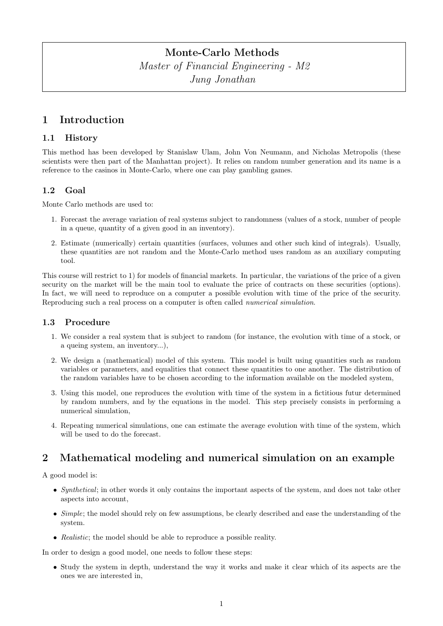# Monte-Carlo Methods

Master of Financial Engineering - M2 Jung Jonathan

# 1 Introduction

### 1.1 History

This method has been developed by Stanislaw Ulam, John Von Neumann, and Nicholas Metropolis (these scientists were then part of the Manhattan project). It relies on random number generation and its name is a reference to the casinos in Monte-Carlo, where one can play gambling games.

## 1.2 Goal

Monte Carlo methods are used to:

- 1. Forecast the average variation of real systems subject to randomness (values of a stock, number of people in a queue, quantity of a given good in an inventory).
- 2. Estimate (numerically) certain quantities (surfaces, volumes and other such kind of integrals). Usually, these quantities are not random and the Monte-Carlo method uses random as an auxiliary computing tool.

This course will restrict to 1) for models of financial markets. In particular, the variations of the price of a given security on the market will be the main tool to evaluate the price of contracts on these securities (options). In fact, we will need to reproduce on a computer a possible evolution with time of the price of the security. Reproducing such a real process on a computer is often called numerical simulation.

### 1.3 Procedure

- 1. We consider a real system that is subject to random (for instance, the evolution with time of a stock, or a queing system, an inventory...),
- 2. We design a (mathematical) model of this system. This model is built using quantities such as random variables or parameters, and equalities that connect these quantities to one another. The distribution of the random variables have to be chosen according to the information available on the modeled system,
- 3. Using this model, one reproduces the evolution with time of the system in a fictitious futur determined by random numbers, and by the equations in the model. This step precisely consists in performing a numerical simulation,
- 4. Repeating numerical simulations, one can estimate the average evolution with time of the system, which will be used to do the forecast.

# 2 Mathematical modeling and numerical simulation on an example

A good model is:

- Synthetical; in other words it only contains the important aspects of the system, and does not take other aspects into account,
- $Simple$ ; the model should rely on few assumptions, be clearly described and ease the understanding of the system.
- Realistic; the model should be able to reproduce a possible reality.

In order to design a good model, one needs to follow these steps:

• Study the system in depth, understand the way it works and make it clear which of its aspects are the ones we are interested in,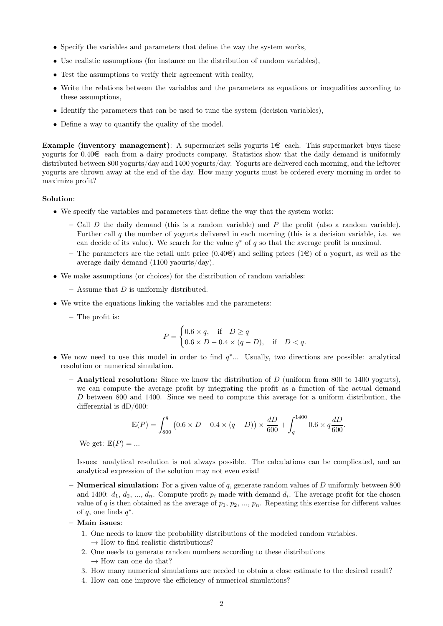- Specify the variables and parameters that define the way the system works,
- Use realistic assumptions (for instance on the distribution of random variables),
- Test the assumptions to verify their agreement with reality,
- Write the relations between the variables and the parameters as equations or inequalities according to these assumptions,
- Identify the parameters that can be used to tune the system (decision variables),
- Define a way to quantify the quality of the model.

Example (inventory management): A supermarket sells yogurts  $1 \in \text{each}$ . This supermarket buys these yogurts for  $0.40 \in$  each from a dairy products company. Statistics show that the daily demand is uniformly distributed between 800 yogurts/day and 1400 yogurts/day. Yogurts are delivered each morning, and the leftover yogurts are thrown away at the end of the day. How many yogurts must be ordered every morning in order to maximize profit?

### Solution:

- We specify the variables and parameters that define the way that the system works:
	- Call D the daily demand (this is a random variable) and P the profit (also a random variable). Further call q the number of yogurts delivered in each morning (this is a decision variable, i.e. we can decide of its value). We search for the value  $q^*$  of q so that the average profit is maximal.
	- The parameters are the retail unit price  $(0.40\epsilon)$  and selling prices  $(1\epsilon)$  of a yogurt, as well as the average daily demand (1100 yaourts/day).
- We make assumptions (or choices) for the distribution of random variables:
	- Assume that  $D$  is uniformly distributed.
- We write the equations linking the variables and the parameters:
	- The profit is:

$$
P = \begin{cases} 0.6 \times q, & \text{if } D \ge q \\ 0.6 \times D - 0.4 \times (q - D), & \text{if } D < q. \end{cases}
$$

- We now need to use this model in order to find  $q^*...$  Usually, two directions are possible: analytical resolution or numerical simulation.
	- $-$  **Analytical resolution:** Since we know the distribution of D (uniform from 800 to 1400 yogurts), we can compute the average profit by integrating the profit as a function of the actual demand D between 800 and 1400. Since we need to compute this average for a uniform distribution, the differential is dD/600:

$$
\mathbb{E}(P) = \int_{800}^{q} (0.6 \times D - 0.4 \times (q - D)) \times \frac{dD}{600} + \int_{q}^{1400} 0.6 \times q \frac{dD}{600}.
$$

We get:  $\mathbb{E}(P) = ...$ 

Issues: analytical resolution is not always possible. The calculations can be complicated, and an analytical expression of the solution may not even exist!

- **Numerical simulation:** For a given value of q, generate random values of D uniformly between 800 and 1400:  $d_1, d_2, ..., d_n$ . Compute profit  $p_i$  made with demand  $d_i$ . The average profit for the chosen value of q is then obtained as the average of  $p_1, p_2, ..., p_n$ . Repeating this exercise for different values of q, one finds  $q^*$ .
- Main issues:
	- 1. One needs to know the probability distributions of the modeled random variables.  $\rightarrow$  How to find realistic distributions?
	- 2. One needs to generate random numbers according to these distributions  $\rightarrow$  How can one do that?
	- 3. How many numerical simulations are needed to obtain a close estimate to the desired result?
	- 4. How can one improve the efficiency of numerical simulations?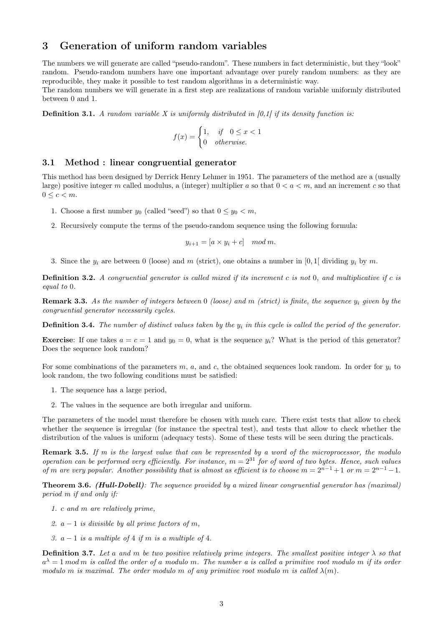## 3 Generation of uniform random variables

The numbers we will generate are called "pseudo-random". These numbers in fact deterministic, but they "look" random. Pseudo-random numbers have one important advantage over purely random numbers: as they are reproducible, they make it possible to test random algorithms in a deterministic way.

The random numbers we will generate in a first step are realizations of random variable uniformly distributed between 0 and 1.

**Definition 3.1.** A random variable X is uniformly distributed in [0,1] if its density function is:

$$
f(x) = \begin{cases} 1, & \text{if } 0 \le x < 1 \\ 0 & \text{otherwise.} \end{cases}
$$

### 3.1 Method : linear congruential generator

This method has been designed by Derrick Henry Lehmer in 1951. The parameters of the method are a (usually large) positive integer m called modulus, a (integer) multiplier a so that  $0 < a < m$ , and an increment c so that  $0 \leq c < m$ .

- 1. Choose a first number  $y_0$  (called "seed") so that  $0 \le y_0 < m$ ,
- 2. Recursively compute the terms of the pseudo-random sequence using the following formula:

$$
y_{i+1} = [a \times y_i + c] \mod m.
$$

3. Since the  $y_i$  are between 0 (loose) and m (strict), one obtains a number in [0,1] dividing  $y_i$  by m.

**Definition 3.2.** A congruential generator is called mixed if its increment c is not 0, and multiplicative if c is equal to 0.

**Remark 3.3.** As the number of integers between 0 (loose) and m (strict) is finite, the sequence  $y_i$  given by the congruential generator necessarily cycles.

**Definition 3.4.** The number of distinct values taken by the  $y_i$  in this cycle is called the period of the generator.

**Exercise:** If one takes  $a = c = 1$  and  $y_0 = 0$ , what is the sequence  $y_i$ ? What is the period of this generator? Does the sequence look random?

For some combinations of the parameters m, a, and c, the obtained sequences look random. In order for  $y_i$  to look random, the two following conditions must be satisfied:

- 1. The sequence has a large period,
- 2. The values in the sequence are both irregular and uniform.

The parameters of the model must therefore be chosen with much care. There exist tests that allow to check whether the sequence is irregular (for instance the spectral test), and tests that allow to check whether the distribution of the values is uniform (adequacy tests). Some of these tests will be seen during the practicals.

**Remark 3.5.** If m is the largest value that can be represented by a word of the microprocessor, the modulo operation can be performed very efficiently. For instance,  $m = 2^{31}$  for of word of two bytes. Hence, such values of m are very popular. Another possibility that is almost as efficient is to choose  $m = 2^{n-1} + 1$  or  $m = 2^{n-1} - 1$ .

Theorem 3.6. (Hull-Dobell): The sequence provided by a mixed linear congruential generator has (maximal) period m if and only if:

- 1. c and m are relatively prime,
- 2.  $a 1$  is divisible by all prime factors of m,
- 3.  $a-1$  is a multiple of 4 if m is a multiple of 4.

**Definition 3.7.** Let a and m be two positive relatively prime integers. The smallest positive integer  $\lambda$  so that  $a^{\lambda}=1$  mod m is called the order of a modulo m. The number a is called a primitive root modulo m if its order modulo m is maximal. The order modulo m of any primitive root modulo m is called  $\lambda(m)$ .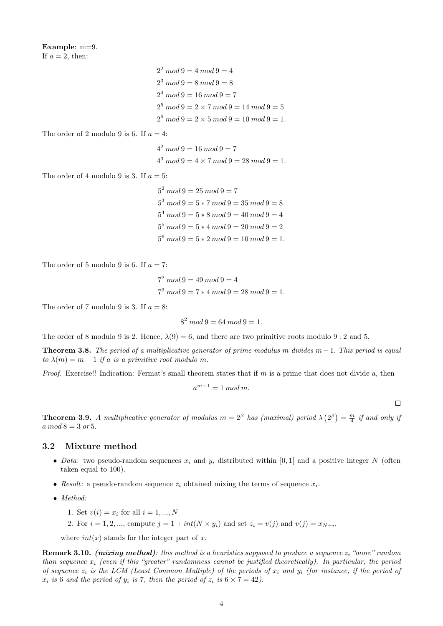Example: m=9. If  $a = 2$ , then:

> $2^2 \mod 9 = 4 \mod 9 = 4$  $2^3 \mod 9 = 8 \mod 9 = 8$  $2^4 \mod 9 = 16 \mod 9 = 7$  $2^5 \mod 9 = 2 \times 7 \mod 9 = 14 \mod 9 = 5$  $2^6 \mod 9 = 2 \times 5 \mod 9 = 10 \mod 9 = 1.$

The order of 2 modulo 9 is 6. If  $a = 4$ :

 $4^2 \mod 9 = 16 \mod 9 = 7$  $4^3 \mod 9 = 4 \times 7 \mod 9 = 28 \mod 9 = 1.$ 

The order of 4 modulo 9 is 3. If  $a = 5$ :

 $5^2 \mod 9 = 25 \mod 9 = 7$  $5^3 \mod 9 = 5 * 7 \mod 9 = 35 \mod 9 = 8$  $5^4 \mod 9 = 5 * 8 \mod 9 = 40 \mod 9 = 4$  $5^5 \mod 9 = 5 * 4 \mod 9 = 20 \mod 9 = 2$  $5^6 \mod 9 = 5 * 2 \mod 9 = 10 \mod 9 = 1.$ 

The order of 5 modulo 9 is 6. If  $a = 7$ :

 $7^2 \mod 9 = 49 \mod 9 = 4$  $7^3 \mod 9 = 7 * 4 \mod 9 = 28 \mod 9 = 1.$ 

The order of 7 modulo 9 is 3. If  $a = 8$ :

$$
8^2 \mod 9 = 64 \mod 9 = 1.
$$

The order of 8 modulo 9 is 2. Hence,  $\lambda(9) = 6$ , and there are two primitive roots modulo 9 : 2 and 5.

**Theorem 3.8.** The period of a multiplicative generator of prime modulus m divides  $m-1$ . This period is equal to  $\lambda(m) = m - 1$  if a is a primitive root modulo m.

Proof. Exercise!! Indication: Fermat's small theorem states that if m is a prime that does not divide a, then

$$
a^{m-1} = 1 \bmod m.
$$

 $\Box$ 

**Theorem 3.9.** A multiplicative generator of modulus  $m = 2^{\beta}$  has (maximal) period  $\lambda(2^{\beta}) = \frac{m}{4}$  if and only ij  $a \mod 8 = 3 \text{ or } 5.$ 

### 3.2 Mixture method

- Data: two pseudo-random sequences  $x_i$  and  $y_i$  distributed within [0, 1] and a positive integer N (often taken equal to 100).
- Result: a pseudo-random sequence  $z_i$  obtained mixing the terms of sequence  $x_i$ .
- Method:
	- 1. Set  $v(i) = x_i$  for all  $i = 1, ..., N$
	- 2. For  $i = 1, 2, ...,$  compute  $j = 1 + int(N \times y_i)$  and set  $z_i = v(j)$  and  $v(j) = x_{N+i}$ .

where  $int(x)$  stands for the integer part of x.

**Remark 3.10.** (mixing method): this method is a heuristics supposed to produce a sequence  $z_i$  "more" random than sequence  $x_i$  (even if this "greater" randomness cannot be justified theoretically). In particular, the period of sequence  $z_i$  is the LCM (Least Common Multiple) of the periods of  $x_i$  and  $y_i$  (for instance, if the period of  $x_i$  is 6 and the period of  $y_i$  is 7, then the period of  $z_i$  is  $6 \times 7 = 42$ ).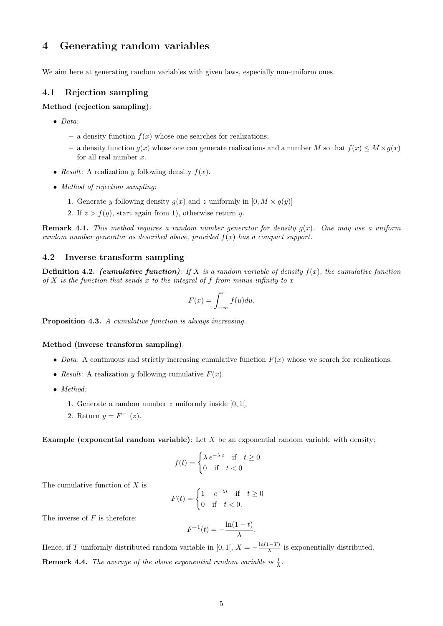# 4 Generating random variables

We aim here at generating random variables with given laws, especially non-uniform ones.

### 4.1 Rejection sampling

### Method (rejection sampling):

- Data:
	- a density function  $f(x)$  whose one searches for realizations;
	- a density function  $g(x)$  whose one can generate realizations and a number M so that  $f(x) \leq M \times g(x)$ for all real number  $x$ .
- Result: A realization y following density  $f(x)$ .
- Method of rejection sampling:
	- 1. Generate y following density  $g(x)$  and z uniformly in  $[0, M \times g(y)]$
	- 2. If  $z > f(y)$ , start again from 1), otherwise return y.

**Remark 4.1.** This method requires a random number generator for density  $g(x)$ . One may use a uniform random number generator as described above, provided  $f(x)$  has a compact support.

### 4.2 Inverse transform sampling

**Definition 4.2.** (cumulative function): If X is a random variable of density  $f(x)$ , the cumulative function of  $X$  is the function that sends  $x$  to the integral of  $f$  from minus infinity to  $x$ 

$$
F(x) = \int_{-\infty}^{x} f(u) du.
$$

Proposition 4.3. A cumulative function is always increasing.

### Method (inverse transform sampling):

- Data: A continuous and strictly increasing cumulative function  $F(x)$  whose we search for realizations.
- Result: A realization y following cumulative  $F(x)$ .
- Method:
	- 1. Generate a random number  $z$  uniformly inside [0, 1],
	- 2. Return  $y = F^{-1}(z)$ .

Example (exponential random variable): Let  $X$  be an exponential random variable with density:

$$
f(t) = \begin{cases} \lambda e^{-\lambda t} & \text{if } t \ge 0\\ 0 & \text{if } t < 0 \end{cases}
$$

The cumulative function of X is

$$
F(t) = \begin{cases} 1 - e^{-\lambda t} & \text{if } t \ge 0\\ 0 & \text{if } t < 0. \end{cases}
$$

The inverse of  $F$  is therefore:

$$
F^{-1}(t) = -\frac{\ln(1-t)}{\lambda}.
$$

Hence, if T uniformly distributed random variable in [0, 1[,  $X = -\frac{\ln(1-T)}{\lambda}$  $\frac{(-T)}{\lambda}$  is exponentially distributed. **Remark 4.4.** The average of the above exponential random variable is  $\frac{1}{\lambda}$ .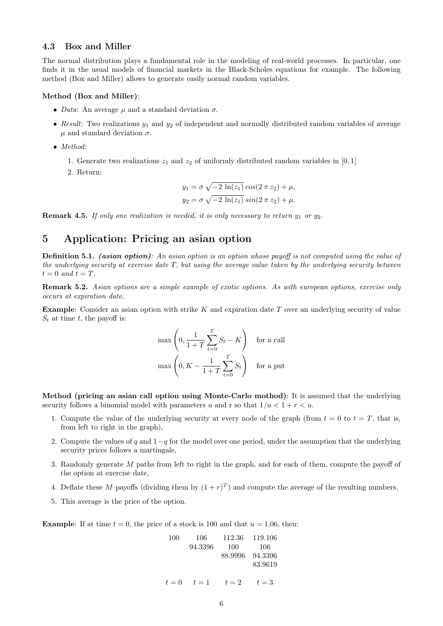### 4.3 Box and Miller

The normal distribution plays a fundamental role in the modeling of real-world processes. In particular, one finds it in the usual models of financial markets in the Black-Scholes equations for example. The following method (Box and Miller) allows to generate easily normal random variables.

#### Method (Box and Miller):

- Data: An average  $\mu$  and a standard deviation  $\sigma$ .
- Result: Two realizations  $y_1$  and  $y_2$  of independent and normally distributed random variables of average  $\mu$  and standard deviation  $\sigma$ .
- Method:
	- 1. Generate two realizations  $z_1$  and  $z_2$  of uniformly distributed random variables in [0, 1]
	- 2. Return:

$$
y_1 = \sigma \sqrt{-2 \ln(z_1)} \cos(2 \pi z_2) + \mu,
$$
  

$$
y_2 = \sigma \sqrt{-2 \ln(z_1)} \sin(2 \pi z_2) + \mu.
$$

**Remark 4.5.** If only one realization is needed, it is only necessary to return  $y_1$  or  $y_2$ .

## 5 Application: Pricing an asian option

**Definition 5.1.** (asian option): An asian option is an option whose payoff is not computed using the value of the underlying security at exercise date T, but using the average value taken by the underlying security between  $t = 0$  and  $t = T$ .

Remark 5.2. Asian options are a simple example of exotic options. As with european options, exercise only occurs at expiration date.

**Example:** Consider an asian option with strike K and expiration date T over an underlying security of value  $S_t$  at time t, the payoff is:

$$
\max\left(0, \frac{1}{1+T} \sum_{t=0}^{T} S_t - K\right) \quad \text{for a call}
$$

$$
\max\left(0, K - \frac{1}{1+T} \sum_{t=0}^{T} S_t\right) \quad \text{for a put}
$$

Method (pricing an asian call option using Monte-Carlo mothod): It is assumed that the underlying security follows a binomial model with parameters u and r so that  $1/u < 1 + r < u$ .

- 1. Compute the value of the underlying security at every node of the graph (from  $t = 0$  to  $t = T$ , that is, from left to right in the graph),
- 2. Compute the values of q and  $1-q$  for the model over one period, under the assumption that the underlying security prices follows a martingale,
- 3. Randomly generate M paths from left to right in the graph, and for each of them, compute the payoff of the option at exercise date,
- 4. Deflate these M payoffs (dividing them by  $(1+r)^T$ ) and compute the average of the resulting numbers,
- 5. This average is the price of the option.

**Example:** If at time  $t = 0$ , the price of a stock is 100 and that  $u = 1.06$ , then:

100 106 112.36 119.106  
\n94.3396 100 106  
\n88.9996 94.3396  
\n83.9619  
\n
$$
t = 0
$$
  $t = 1$   $t = 2$   $t = 3$